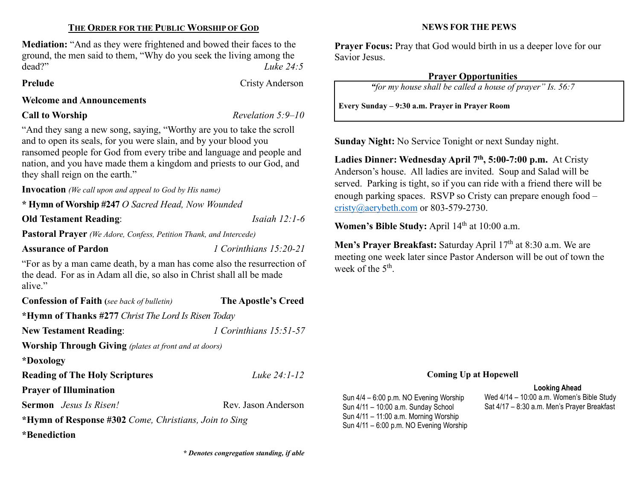# THE ORDER FOR THE PUBLIC WORSHIP OF GOD

Mediation: "And as they were frightened and bowed their faces to the ground, the men said to them, "Why do you seek the living among the dead?" Luke 24:5

Prelude Cristy Anderson

## Welcome and Announcements

**Call to Worship Revelation 5:9–10** 

"And they sang a new song, saying, "Worthy are you to take the scroll and to open its seals, for you were slain, and by your blood you ransomed people for God from every tribe and language and people and nation, and you have made them a kingdom and priests to our God, and they shall reign on the earth."

Invocation (We call upon and appeal to God by His name)

\* Hymn of Worship #247 O Sacred Head, Now Wounded

Old Testament Reading: *Isaiah 12:1-6* 

Pastoral Prayer (We Adore, Confess, Petition Thank, and Intercede)

Assurance of Pardon 1 Corinthians 15:20-21

"For as by a man came death, by a man has come also the resurrection of the dead. For as in Adam all die, so also in Christ shall all be made alive."

| <b>Confession of Faith</b> (see back of bulletin)            | The Apostle's Creed    |  |  |  |  |
|--------------------------------------------------------------|------------------------|--|--|--|--|
| *Hymn of Thanks #277 Christ The Lord Is Risen Today          |                        |  |  |  |  |
| <b>New Testament Reading:</b>                                | 1 Corinthians 15:51-57 |  |  |  |  |
| <b>Worship Through Giving</b> (plates at front and at doors) |                        |  |  |  |  |
| *Doxology                                                    |                        |  |  |  |  |
| <b>Reading of The Holy Scriptures</b>                        | Luke $24:1 - 12$       |  |  |  |  |
| <b>Prayer of Illumination</b>                                |                        |  |  |  |  |
| <b>Sermon</b> <i>Jesus Is Risen!</i>                         | Rev. Jason Anderson    |  |  |  |  |
| *Hymn of Response #302 Come, Christians, Join to Sing        |                        |  |  |  |  |
| *Benediction                                                 |                        |  |  |  |  |

### NEWS FOR THE PEWS

Praver Focus: Pray that God would birth in us a deeper love for our Savior Jesus.

### Prayer Opportunities

"for my house shall be called a house of prayer" Is. 56:7

Every Sunday – 9:30 a.m. Prayer in Prayer Room

Sunday Night: No Service Tonight or next Sunday night.

Ladies Dinner: Wednesday April  $7<sup>th</sup>$ , 5:00-7:00 p.m. At Cristy Anderson's house. All ladies are invited. Soup and Salad will be served. Parking is tight, so if you can ride with a friend there will be enough parking spaces. RSVP so Cristy can prepare enough food – cristy@aerybeth.com or 803-579-2730.

Women's Bible Study: April 14<sup>th</sup> at 10:00 a.m.

Men's Prayer Breakfast: Saturday April 17<sup>th</sup> at 8:30 a.m. We are meeting one week later since Pastor Anderson will be out of town the week of the  $5^{\text{th}}$ .

#### Coming Up at Hopewell

#### Looking Ahead

Sun 4/4 – 6:00 p.m. NO Evening Worship Sun 4/11 – 10:00 a.m. Sunday School Sun 4/11 – 11:00 a.m. Morning Worship Sun 4/11 – 6:00 p.m. NO Evening Worship

Wed 4/14 – 10:00 a.m. Women's Bible Study Sat 4/17 – 8:30 a.m. Men's Prayer Breakfast

\* Denotes congregation standing, if able